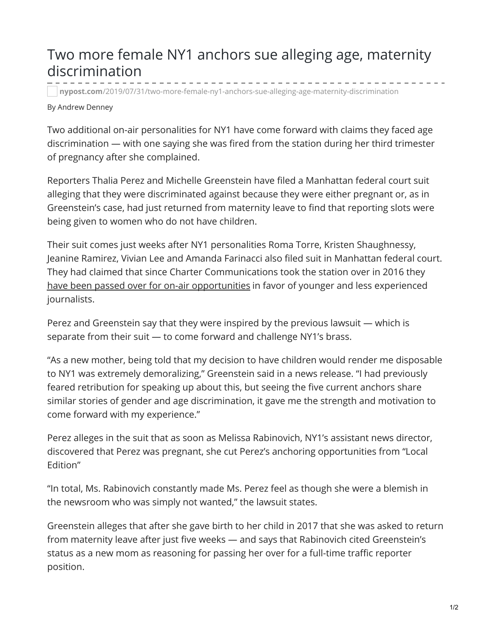## Two more female NY1 anchors sue alleging age, maternity discrimination

**nypost.com**[/2019/07/31/two-more-female-ny1-anchors-sue-alleging-age-maternity-discrimination](https://nypost.com/2019/07/31/two-more-female-ny1-anchors-sue-alleging-age-maternity-discrimination/)

## By Andrew Denney

Two additional on-air personalities for NY1 have come forward with claims they faced age discrimination — with one saying she was fired from the station during her third trimester of pregnancy after she complained.

Reporters Thalia Perez and Michelle Greenstein have filed a Manhattan federal court suit alleging that they were discriminated against because they were either pregnant or, as in Greenstein's case, had just returned from maternity leave to find that reporting slots were being given to women who do not have children.

Their suit comes just weeks after NY1 personalities Roma Torre, Kristen Shaughnessy, Jeanine Ramirez, Vivian Lee and Amanda Farinacci also filed suit in Manhattan federal court. They had claimed that since Charter Communications took the station over in 2016 they have been passed over for on-air [opportunities](https://nypost.com/2019/06/19/five-anchors-sue-ny1-for-age-and-gender-discrimination/) in favor of younger and less experienced journalists.

Perez and Greenstein say that they were inspired by the previous lawsuit — which is separate from their suit — to come forward and challenge NY1's brass.

"As a new mother, being told that my decision to have children would render me disposable to NY1 was extremely demoralizing," Greenstein said in a news release. "I had previously feared retribution for speaking up about this, but seeing the five current anchors share similar stories of gender and age discrimination, it gave me the strength and motivation to come forward with my experience."

Perez alleges in the suit that as soon as Melissa Rabinovich, NY1's assistant news director, discovered that Perez was pregnant, she cut Perez's anchoring opportunities from "Local Edition"

"In total, Ms. Rabinovich constantly made Ms. Perez feel as though she were a blemish in the newsroom who was simply not wanted," the lawsuit states.

Greenstein alleges that after she gave birth to her child in 2017 that she was asked to return from maternity leave after just five weeks — and says that Rabinovich cited Greenstein's status as a new mom as reasoning for passing her over for a full-time traffic reporter position.